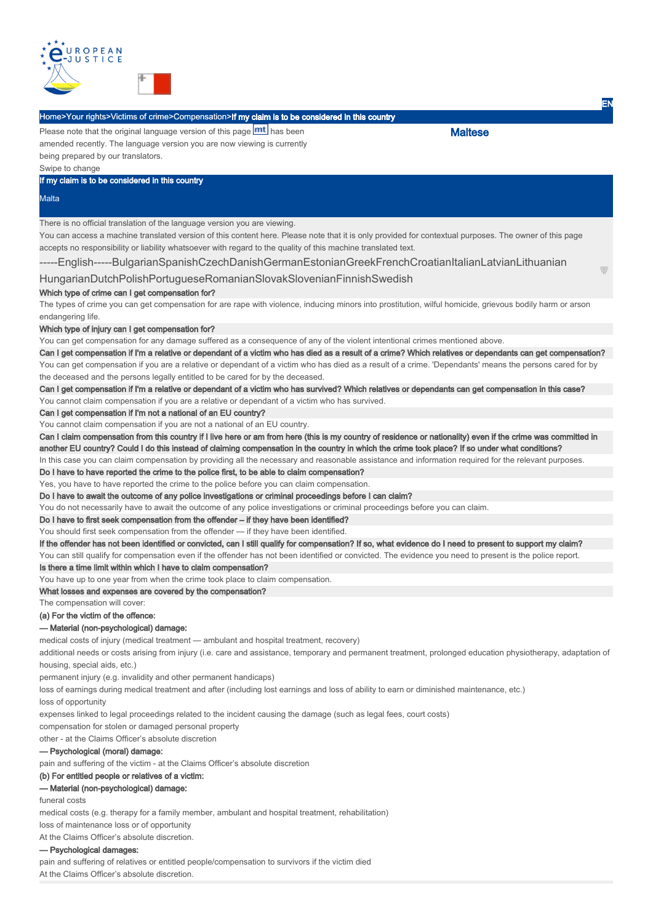

# Home>Your rights>Victims of crime>Compensation>If my claim is to be considered in this country

Please note that the original language version of this page **mt** has been amended recently. The language version you are now viewing is currently being prepared by our translators.

Swipe to change

If my claim is to be considered in this country

#### Malta

There is no official translation of the language version you are viewing.

You can access a machine translated version of this content here. Please note that it is only provided for contextual purposes. The owner of this page accepts no responsibility or liability whatsoever with regard to the quality of this machine translated text.

-----English-----BulgarianSpanishCzechDanishGermanEstonianGreekFrenchCroatianItalianLatvianLithuanian

HungarianDutchPolishPortugueseRomanianSlovakSlovenianFinnishSwedish

### Which type of crime can I get compensation for?

The types of crime you can get compensation for are rape with violence, inducing minors into prostitution, wilful homicide, grievous bodily harm or arson endangering life.

### Which type of injury can I get compensation for?

You can get compensation for any damage suffered as a consequence of any of the violent intentional crimes mentioned above.

Can I get compensation if I'm a relative or dependant of a victim who has died as a result of a crime? Which relatives or dependants can get compensation? You can get compensation if you are a relative or dependant of a victim who has died as a result of a crime. 'Dependants' means the persons cared for by the deceased and the persons legally entitled to be cared for by the deceased.

Can I get compensation if I'm a relative or dependant of a victim who has survived? Which relatives or dependants can get compensation in this case?

You cannot claim compensation if you are a relative or dependant of a victim who has survived.

Can I get compensation if I'm not a national of an EU country?

You cannot claim compensation if you are not a national of an EU country.

Can I claim compensation from this country if I live here or am from here (this is my country of residence or nationality) even if the crime was committed in another EU country? Could I do this instead of claiming compensation in the country in which the crime took place? If so under what conditions?

In this case you can claim compensation by providing all the necessary and reasonable assistance and information required for the relevant purposes

Do I have to have reported the crime to the police first, to be able to claim compensation? Yes, you have to have reported the crime to the police before you can claim compensation.

Do I have to await the outcome of any police investigations or criminal proceedings before I can claim?

You do not necessarily have to await the outcome of any police investigations or criminal proceedings before you can claim.

Do I have to first seek compensation from the offender – if they have been identified?

You should first seek compensation from the offender — if they have been identified.

If the offender has not been identified or convicted, can I still qualify for compensation? If so, what evidence do I need to present to support my claim?

You can still qualify for compensation even if the offender has not been identified or convicted. The evidence you need to present is the police report.

Is there a time limit within which I have to claim compensation?

You have up to one year from when the crime took place to claim compensation.

What losses and expenses are covered by the compensation?

The compensation will cover:

# (a) For the victim of the offence:

#### — Material (non-psychological) damage:

medical costs of injury (medical treatment — ambulant and hospital treatment, recovery)

additional needs or costs arising from injury (i.e. care and assistance, temporary and permanent treatment, prolonged education physiotherapy, adaptation of housing, special aids, etc.)

permanent injury (e.g. invalidity and other permanent handicaps)

loss of earnings during medical treatment and after (including lost earnings and loss of ability to earn or diminished maintenance, etc.)

loss of opportunity

expenses linked to legal proceedings related to the incident causing the damage (such as legal fees, court costs)

compensation for stolen or damaged personal property

other - at the Claims Officer's absolute discretion

# — Psychological (moral) damage:

pain and suffering of the victim - at the Claims Officer's absolute discretion

# (b) For entitled people or relatives of a victim:

#### — Material (non-psychological) damage:

funeral costs

medical costs (e.g. therapy for a family member, ambulant and hospital treatment, rehabilitation)

loss of maintenance loss or of opportunity

At the Claims Officer's absolute discretion.

# — Psychological damages:

At the Claims Officer's absolute discretion. pain and suffering of relatives or entitled people/compensation to survivors if the victim died **Maltese** 

EN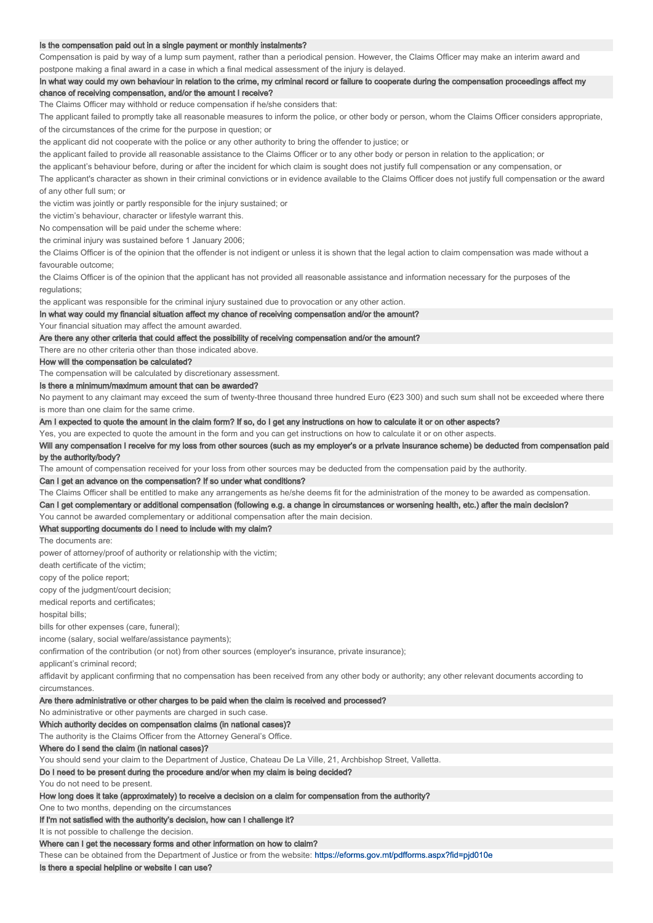#### Is the compensation paid out in a single payment or monthly instalments?

Compensation is paid by way of a lump sum payment, rather than a periodical pension. However, the Claims Officer may make an interim award and postpone making a final award in a case in which a final medical assessment of the injury is delayed.

In what way could my own behaviour in relation to the crime, my criminal record or failure to cooperate during the compensation proceedings affect my chance of receiving compensation, and/or the amount I receive?

The Claims Officer may withhold or reduce compensation if he/she considers that:

The applicant failed to promptly take all reasonable measures to inform the police, or other body or person, whom the Claims Officer considers appropriate, of the circumstances of the crime for the purpose in question; or

the applicant did not cooperate with the police or any other authority to bring the offender to justice; or

the applicant failed to provide all reasonable assistance to the Claims Officer or to any other body or person in relation to the application; or

the applicant's behaviour before, during or after the incident for which claim is sought does not justify full compensation or any compensation, or

The applicant's character as shown in their criminal convictions or in evidence available to the Claims Officer does not justify full compensation or the award of any other full sum; or

the victim was jointly or partly responsible for the injury sustained; or

the victim's behaviour, character or lifestyle warrant this.

No compensation will be paid under the scheme where:

the criminal injury was sustained before 1 January 2006;

the Claims Officer is of the opinion that the offender is not indigent or unless it is shown that the legal action to claim compensation was made without a favourable outcome;

the Claims Officer is of the opinion that the applicant has not provided all reasonable assistance and information necessary for the purposes of the regulations:

the applicant was responsible for the criminal injury sustained due to provocation or any other action.

#### In what way could my financial situation affect my chance of receiving compensation and/or the amount?

Your financial situation may affect the amount awarded.

#### Are there any other criteria that could affect the possibility of receiving compensation and/or the amount?

There are no other criteria other than those indicated above.

#### How will the compensation be calculated?

The compensation will be calculated by discretionary assessment.

## Is there a minimum/maximum amount that can be awarded?

No payment to any claimant may exceed the sum of twenty-three thousand three hundred Euro (€23 300) and such sum shall not be exceeded where there is more than one claim for the same crime.

Am I expected to quote the amount in the claim form? If so, do I get any instructions on how to calculate it or on other aspects?

Yes, you are expected to quote the amount in the form and you can get instructions on how to calculate it or on other aspects.

Will any compensation I receive for my loss from other sources (such as my employer's or a private insurance scheme) be deducted from compensation paid by the authority/body?

The amount of compensation received for your loss from other sources may be deducted from the compensation paid by the authority.

#### Can I get an advance on the compensation? If so under what conditions?

The Claims Officer shall be entitled to make any arrangements as he/she deems fit for the administration of the money to be awarded as compensation.

Can I get complementary or additional compensation (following e.g. a change in circumstances or worsening health, etc.) after the main decision?

You cannot be awarded complementary or additional compensation after the main decision.

# What supporting documents do I need to include with my claim?

The documents are:

power of attorney/proof of authority or relationship with the victim;

death certificate of the victim;

copy of the police report;

copy of the judgment/court decision;

medical reports and certificates;

hospital bills;

bills for other expenses (care, funeral);

income (salary, social welfare/assistance payments);

confirmation of the contribution (or not) from other sources (employer's insurance, private insurance);

applicant's criminal record;

affidavit by applicant confirming that no compensation has been received from any other body or authority; any other relevant documents according to circumstances.

#### Are there administrative or other charges to be paid when the claim is received and processed?

No administrative or other payments are charged in such case.

Which authority decides on compensation claims (in national cases)?

The authority is the Claims Officer from the Attorney General's Office.

### Where do I send the claim (in national cases)?

You should send your claim to the Department of Justice, Chateau De La Ville, 21, Archbishop Street, Valletta.

### Do I need to be present during the procedure and/or when my claim is being decided?

You do not need to be present.

How long does it take (approximately) to receive a decision on a claim for compensation from the authority?

# One to two months, depending on the circumstances

If I'm not satisfied with the authority's decision, how can I challenge it?

It is not possible to challenge the decision.

## Where can I get the necessary forms and other information on how to claim?

These can be obtained from the Department of Justice or from the website: https://eforms.gov.mt/pdfforms.aspx?fid=pjd010e

### Is there a special helpline or website I can use?